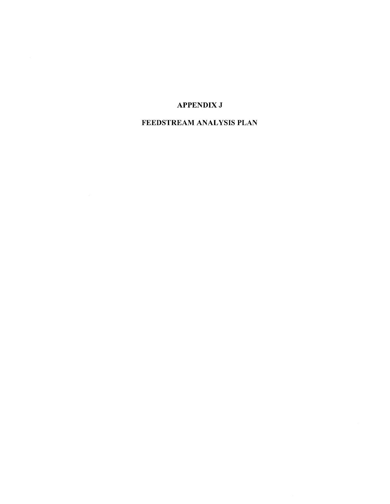# **APPENDIX J**

# **FEEDSTREAM ANALYSIS PLAN**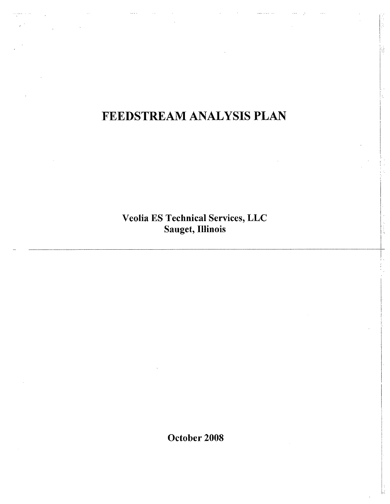# **FEEDSTREAM ANALYSIS PLAN**

医生姜

Ý

**Veolia ES Technical Services, LLC Sauget, Illinois** 

**October 2008**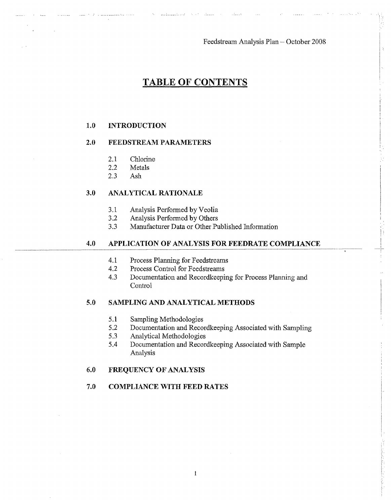$\chi$ 

# **TABLE OF CONTENTS**

#### **1.0 INTRODUCTION**

#### **2.0 FEEDSTREAM PARAMETERS**

- 2.1 Chlorine
- 2.2 Metals<br>2.3 Ash
- 

#### $3.0$ **ANALYTICAL RATIONALE**

- $3.1$ Analysis Performed by Veolia
- 3.2 Analysis Performed by Others
- 3.3 Manufacturer Data or Other Published Information

#### **4.0 APPLICATION OF ANALYSIS FOR FEEDRATE COMPLIANCE**

- 4.1 Process Planning for Feedstreams
- 4.2 Process Control for Feedstreams
- 4.3 Documentation and Recordkeeping for Process Planning and Control

#### **5.0 SAMPLING AND ANALYTICAL METHODS**

- 5.1 Sampling Methodologies
- 5.2 Documentation and Recordkeeping Associated with Sampling<br>5.3 Analytical Methodologies
- 5.3 Analytical Methodologies
- 5.4 Documentation and Recordkeepmg Associated with Sample Analysis

#### **6.0 FREQUENCY OF ANALYSIS**

#### **7.0 COMPLIANCE WITH FEED RATES**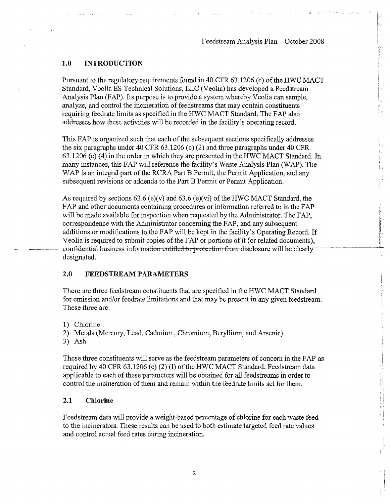#### **1.0 INTRODUCTION**

Pursuant to the regulatory requirements found in 40 CFR 63.1206 (c) of the HWC MACT Standard, Veolia ES Technical Solutions, LLC (Veolia) has developed a Feedstream Analysis Plan (FAP). Its purpose is to provide a system whereby Veolia can sample, analyze, and control the incineration of feedstreams that may contain constituents requiting feedrate limits as specified in the HWC MACT Standard. The FAP also addresses how these activities will be recorded in the facility's operating record.

This FAP is organized such that each of the subsequent sections specifically addresses the six paragraphs under 40 CFR 63.1206 (c) (2) and three paragraphs under 40 CFR 63.1206 (c) (4) in the order in which they are presented in the HWC MACT Standard. In many instances, this FAP will reference the facility's Waste Analysis Plan (WAP). The WAP is an integral part of the RCRA Part B Permit, the Permit Application, and any subsequent revisions or addenda to the Part B Permit or Permit Application.

As required by sections 63.6 (e)(v) and 63.6 (e)(vi) of the HWC MACT Standard, the FAP and other documents containing procedures or information referred to in the FAP will be made available for inspection when requested by the Administrator. The FAP, correspondence with the Administrator concerning the FAP, and any subsequent additions or modifications to the FAP will be kept in the facility's Operating Record. If Veolia is required to submit copies of the FAP or portions of it (or related documents), confidential business information entitled to protection from disclosure will be clearly designated.

#### **2.0 FEEDSTREAM PARAMETERS**

There are three feedstream constituents that are specified in the HWC MACT Standard for emission and/or feedrate limitations and that maybe present in any given feedstream. These three are:

- 1) Chlorine
- 2) Metals (Mercury, Lead, Cadmium, Chromium, Beryllium, and Arsenic)
- 3) Ash

These three constituents will serve as the feedstream parameters of concern in the FAP as required by 40 CFR 63.1206 (c) (2) (I) of the HWC MACT Standard. Feedstream data applicable to each of these parameters will be obtained for all feedstreams in order to control the incineration of them and remain within the feedrate limits set for them.

#### **2.1 Chlorine**

Feedstream data will provide a weight-based percentage of chlorine for each waste feed to the incinerators. These results can be used to both estimate targeted feed rate values and control actual feed rates during incineration.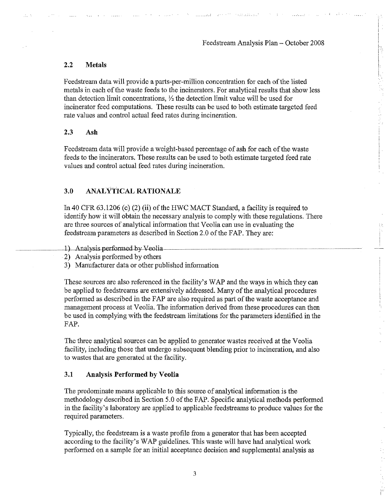and www.government

#### **2.2 Metals**

Feedstream data will provide a parts-per-million concentration for each of the listed metals in each of the waste feeds to the incinerators. For analytical results that show less than detection limit concentrations,  $\frac{1}{2}$  the detection limit value will be used for incinerator feed computations. These results can be used to both estimate targeted feed rate values and control actual feed rates during incineration.

#### **2.3 Ash**

Feedstream data will provide a weight-based percentage of ash for each of the waste feeds to the incinerators. These results can be used to both estimate targeted feed rate values and control actual feed rates during incineration.

## **3.0 ANALYTICAL RATIONALE**

In 40 CFR 63.1206 (c) (2) (ii) of the HWC MACT Standard, a facility is required to identify how it will obtain the necessary analysis to comply with these regulations. There are three sources of analytical information that Veolia can use in evaluating the feedstream parameters as described in Section 2.0 of the FAP. They are:

- 1) Analysis performed by Veolia
- 2) Analysis performed by others
- 3) Manufacturer data or other published information

These sources are also referenced in the facility's WAP and the ways in which they can be applied to feedstreams are extensively addressed. Many of the analytical procedures performed as described in the FAP are also required as part of the waste acceptance and management process at Veolia. The information derived from these procedures can then be used in complying with the feedstream limitations for the parameters identified in the FAP.

The three analytical sources can be applied to generator wastes received at the Veolia facility, including those that undergo subsequent blending prior to incineration, and also to wastes that are generated at the facility.

#### **3.1 Analysis Performed by Veolia**

The predominate means applicable to this source of analytical information is the methodology described in Section 5.0 of the FAP. Specific analytical methods performed in the facility's laboratory are applied to applicable feedstreams to produce values for the required parameters.

Typically, the feedstream is a waste profile from a generator that has been accepted according to the facility's WAP guidelines. This waste will have had analytical work performed on a sample for an initial acceptance decision and supplemental analysis as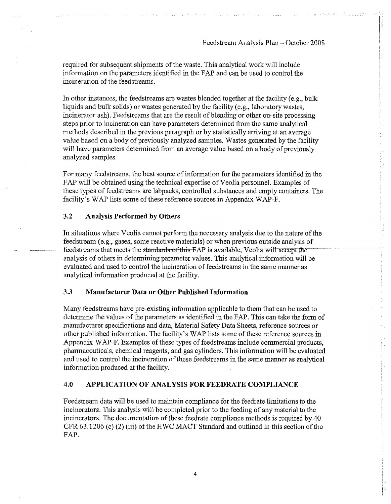**l : i i •** 

**i** 

required for subsequent shipments of the waste. This analytical work will include | information on the parameters identified in the FAP and can be used to control the incineration of the feedstreams.

In other instances, the feedstreams are wastes blended together at the facility (e.g., bulk liquids and bulk solids) or wastes generated by the facility (e.g., laboratory wastes, incinerator ash). Feedstreams that are the result of blending or other on-site processing steps prior to incineration can have parameters determined from the same analytical methods described in the previous paragraph or by statistically arriving at an average ' value based on a body of previously analyzed samples. Wastes generated by the facility will have parameters determined from an average value based on a body of previously analyzed samples.

For many feedstreams, the best source of information for the parameters identified in the FAP will be obtained using the technical expertise of Veolia personnel. Examples of these types of feedstreams are labpacks, controlled substances and empty containers. The facility's WAP lists some of these reference sources in Appendix WAP-F.

#### 3.2 **Analysis Performed by Others**

In situations where Veolia cannot perform the necessary analysis due to the nature of the feedstream (e.g., gases, some reactive materials) or when previous outside analysis of feedstreams that meets the standards of this FAP is available, Veolia will accept the analysis of others in determining parameter values. This analytical information will be evaluated and used to control the incineration of feedstreams in the same manner as analytical information produced at the facility.

#### 3.3 **Manufacturer Data or Other Published Information**

Many feedstreams have pre-existing information applicable to them that can be used to determine the values of the parameters as identified in the FAP. This can take the form of manufacturer specifications and data, Material Safety Data Sheets, reference sources or other published information. The facility's WAP lists some of these reference sources in Appendix WAP-F. Examples of these types of feedstreams include commercial products, pharmaceuticals, chemical reagents, and gas cylinders. This information will be evaluated and used to control the incineration of these feedstreams in the same manner as analytical information produced at the facility.

#### **4.0 APPLICATION OF ANALYSIS FOR FEEDRATE COMPLIANCE**

Feedstream data will be used to maintain compliance for the feedrate limitations to the incinerators. This analysis will be completed prior to the feeding of any material to the incinerators. The documentation of these feedrate compliance methods is required by 40 CFR  $63.1206$  (c) (2) (iii) of the HWC MACT Standard and outlined in this section of the  $FAP.$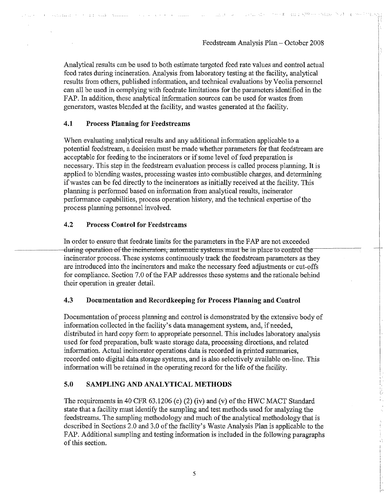Analytical results can be used to both estimate targeted feed rate values and control actual feed rates during incineration. Analysis from laboratory testing at the facility, analytical results from others, published mformation, and technical evaluations by Veolia personnel can all be used in complying with feedrate limitations for the parameters identified in the FAP. In addition, these analytical information sources can be used for wastes from generators, wastes blended at the facility, and wastes generated at the facility.

#### **4.1 Process Planning for Feedstreams**

When evaluating analytical results and any additional information applicable to a potential feedstream, a decision must be made whether parameters for that feedstream are acceptable for feeding to the incinerators or if some level of feed preparation is necessary. This step in the feedstream evaluation process is called process planning. It is applied to blending wastes, processing wastes into combustible charges, and determining if wastes can be fed directly to the incinerators as initially received at the facility. This planning is performed based on information from analytical results, incinerator performance capabilities, process operation history, and the technical expertise of the process planning personnel involved.

#### **4.2 Process Control for Feedstreams**

In order to ensure that feedrate limits for the parameters in the FAP are not exceeded during operation of the incinerators, automatic systems must be in place to control the incinerator process. These systems continuously track the feedstream parameters as they are introduced into the incinerators and make the necessary feed adjustments or cut-offs for compliance. Section 7.0 of the FAP addresses these systems and the rationale behind their operation in greater detail.

#### **4.3 Documentation and Recordkeeping for Process Planning and Control**

Documentation of process planning and control is demonstrated by the extensive body of information collected in the facility's data management system, and, if needed, distributed in hard copy form to appropriate personnel. This includes laboratory analysis used for feed preparation, bulk waste storage data, processing directions, and related mformation. Actual incinerator operations data is recorded in printed surnmaries, recorded onto digital data storage systems, and is also selectively available on-line. This information will be retained in the operating record for the life of the facility.

### **5.0 SAMPLING AND ANALYTICAL METHODS**

The requirements in 40 CFR 63.1206 (c) (2) (iv) and (v) of the HWC MACT Standard state that a facility must identify the sampling and test methods used for analyzing the feedstreams. The sampling methodology and much of the analytical methodology that is described in Sections 2,0 and 3.0 of the facility's Waste Analysis Plan is applicable to the FAP. Additional sampling and testing information is included in the following paragraphs of this section.

å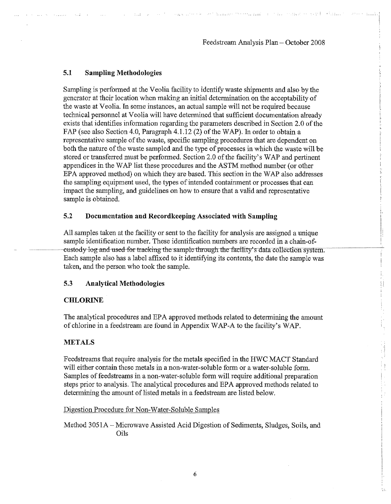as ed a Gam

 $\frac{1}{2}$ 

i y

الطواري والمحمدة

#### **5.1 Sampling Methodologies**

Sampling is performed at the Veolia facility to identify waste shipments and also by the generator at their location when making an initial determination on the acceptability of the waste at Veolia. In some instances, an actual sample will not be required because technical personnel at Veolia will have determined that sufficient documentation already exists that identifies information regarding the parameters described in Section 2.0 of the FAP (see also Section 4.0, Paragraph 4.1.12 (2) of the WAP). In order to obtain a representative sample of the waste, specific sampling procedures that are dependent on both the nature of the waste sampled and the type of processes in which the waste will be stored or transferred must be performed. Section 2.0 of the facility's WAP and pertinent appendices in the WAP list these procedures and the ASTM method number (or other EPA approved method) on which they are based. This section in the WAP also addresses the sampling equipment used, the types of intended containment or processes that can impact the sampling, and guidelines on how to ensure that a valid and representative sample is obtained.

#### **5.2 Documentation and Recordkeeping Associated with Sampling**

All samples taken at the facility or sent to the facility for analysis are assigned a unique sample identification number. These identification numbers are recorded in a chain-ofcustody log and used for tracking the sample through the facility's data collection system. Each sample also has a label affixed to it identifying its contents, the date the sample was taken, and the person who took the sample.

#### **5.3 Analytical Methodologies**

#### **CHLORINE**

The analytical procedures and EPA approved methods related to determining the amount of chlorine in a feedstream are found in Appendix WAP-A to the facility's WAP.

#### **METALS**

Feedstreams that require analysis for the metals specified in the HWC MACT Standard will either contain these metals in a non-water-soluble form or a water-soluble form. Samples of feedstreams in a non-water-soluble form will require additional preparation steps prior to analysis. The analytical procedures and EPA approved methods related to determining the amount of listed metals in a feedstream are listed below.

#### Digestion Procedure for Non-Water-Soluble Samples

Method 3051A - Microwave Assisted Acid Digestion of Sediments, Sludges, Soils, and Oils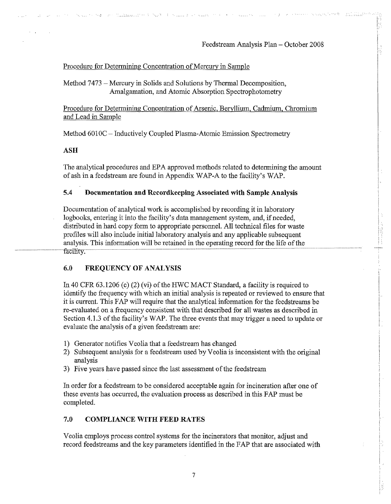#### Procedure for Determining Concentration of Mercury in Sample

Method 7473 – Mercury in Solids and Solutions by Thermal Decomposition, Amalgamation, and Atomic Absorption Spectrophotometry

#### Procedure for Determining Concentration of Arsenic, Beryllium. Cadmium. Chromium and Lead in Sample

Method 601OC - Inductively Coupled Plasma-Atomic Emission Spectrometry

#### **ASH**

The analytical procedures and EPA approved methods related to determining the amount of ash in a feedstream are found in Appendix WAP-A to the facility's WAP.

#### **5.4 Documentation and Recordkeeping Associated with Sample Analysis**

Documentation of analytical work is accomplished by recording it in laboratory logbooks, entering it into the facility's data management system, and, if needed, distributed in hard copy form to appropriate personnel. All technical files for waste profiles will also include initial laboratory analysis and any applicable subsequent analysis. This information will be retained in the operating record for the life of the facility.

#### **6.0 FREQUENCY OF ANALYSIS**

In 40 CFR 63.1206 (c) (2) (vi) of the HWC MACT Standard, a facility is required to identify the frequency with which an initial analysis is repeated or reviewed to ensure that it is current. This FAP will require that the analytical information for the feedstreams be re-evaluated on a frequency consistent with that described for all wastes as described in Section 4.1.3 of the facility's WAP. The three events that may trigger a need to update or evaluate the analysis of a given feedstream are:

- 1) Generator notifies Veolia that a feedstream has changed
- 2) Subsequent analysis for a feedstream used by Veolia is inconsistent with the original analysis
- 3) Five years have passed since the last assessment of the feedstream

In order for a feedstream to be considered acceptable again for incineration after one of these events has occurred, the evaluation process as described in this FAP must be completed.

#### **7.0 COMPLIANCE WITH FEED RATES**

Veolia employs process control systems for the incinerators that monitor, adjust and record feedstreams and the key parameters identified in the FAP that are associated with